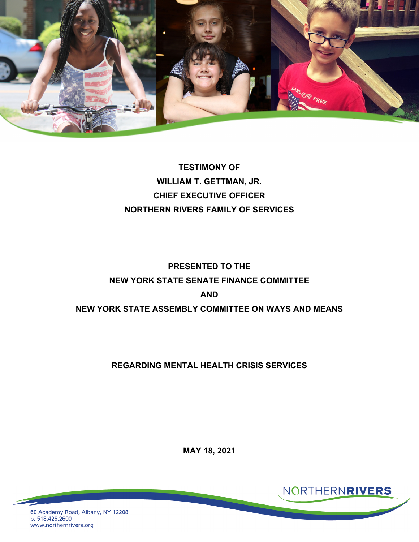

**TESTIMONY OF WILLIAM T. GETTMAN, JR. CHIEF EXECUTIVE OFFICER NORTHERN RIVERS FAMILY OF SERVICES**

# **PRESENTED TO THE NEW YORK STATE SENATE FINANCE COMMITTEE AND NEW YORK STATE ASSEMBLY COMMITTEE ON WAYS AND MEANS**

#### **REGARDING MENTAL HEALTH CRISIS SERVICES**

**MAY 18, 2021**

NORTHERNRIVERS

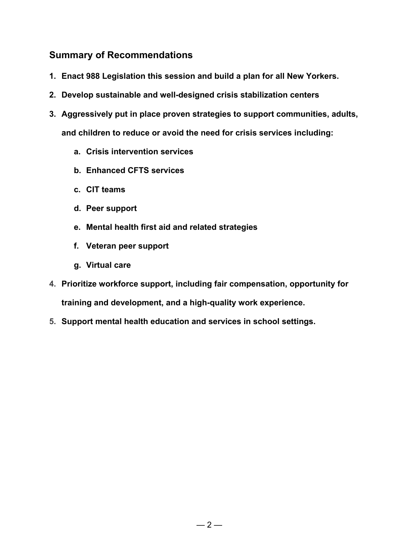# **Summary of Recommendations**

- **1. Enact 988 Legislation this session and build a plan for all New Yorkers.**
- **2. Develop sustainable and well-designed crisis stabilization centers**
- **3. Aggressively put in place proven strategies to support communities, adults, and children to reduce or avoid the need for crisis services including:**
	- **a. Crisis intervention services**
	- **b. Enhanced CFTS services**
	- **c. CIT teams**
	- **d. Peer support**
	- **e. Mental health first aid and related strategies**
	- **f. Veteran peer support**
	- **g. Virtual care**
- **4. Prioritize workforce support, including fair compensation, opportunity for training and development, and a high-quality work experience.**
- **5. Support mental health education and services in school settings.**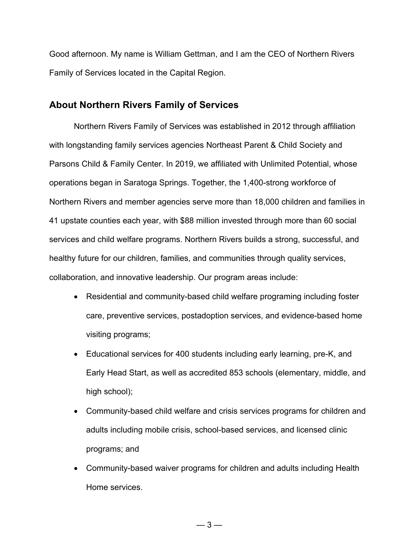Good afternoon. My name is William Gettman, and I am the CEO of Northern Rivers Family of Services located in the Capital Region.

#### **About Northern Rivers Family of Services**

Northern Rivers Family of Services was established in 2012 through affiliation with longstanding family services agencies Northeast Parent & Child Society and Parsons Child & Family Center. In 2019, we affiliated with Unlimited Potential, whose operations began in Saratoga Springs. Together, the 1,400-strong workforce of Northern Rivers and member agencies serve more than 18,000 children and families in 41 upstate counties each year, with \$88 million invested through more than 60 social services and child welfare programs. Northern Rivers builds a strong, successful, and healthy future for our children, families, and communities through quality services, collaboration, and innovative leadership. Our program areas include:

- Residential and community-based child welfare programing including foster care, preventive services, postadoption services, and evidence-based home visiting programs;
- Educational services for 400 students including early learning, pre-K, and Early Head Start, as well as accredited 853 schools (elementary, middle, and high school);
- Community-based child welfare and crisis services programs for children and adults including mobile crisis, school-based services, and licensed clinic programs; and
- Community-based waiver programs for children and adults including Health Home services.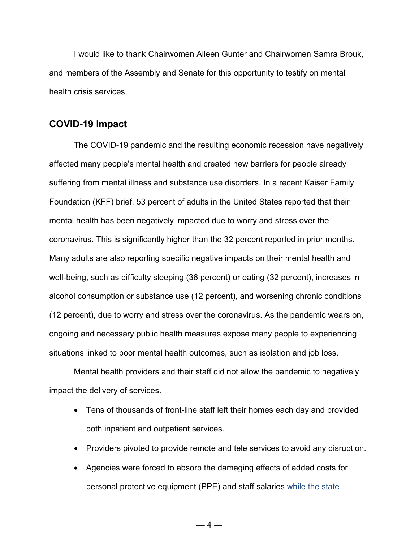I would like to thank Chairwomen Aileen Gunter and Chairwomen Samra Brouk, and members of the Assembly and Senate for this opportunity to testify on mental health crisis services.

#### **COVID-19 Impact**

The COVID-19 pandemic and the resulting economic recession have negatively affected many people's mental health and created new barriers for people already suffering from mental illness and substance use disorders. In a recent Kaiser Family Foundation (KFF) brief, 53 [percent](https://www.kff.org/coronavirus-covid-19/report/kff-health-tracking-poll-july-2020/) of adults in the United States reported that their mental health has been negatively impacted due to worry and stress over the coronavirus. This is significantly higher than the 32 [percent](https://www.kff.org/coronavirus-covid-19/poll-finding/kff-coronavirus-poll-march-2020/) reported in prior months. Many adults are also reporting specific negative impacts on their [mental health and](https://www.kff.org/coronavirus-covid-19/report/kff-health-tracking-poll-july-2020/)  [well-being,](https://www.kff.org/coronavirus-covid-19/report/kff-health-tracking-poll-july-2020/) such as difficulty sleeping (36 percent) or eating (32 percent), increases in alcohol consumption or substance use (12 percent), and worsening chronic conditions (12 percent), due to worry and stress over the coronavirus. As the pandemic wears on, ongoing and necessary public health measures expose many people to experiencing situations linked to poor mental health outcomes, such as [isolation](https://www.cdc.gov/mentalhealth/learn/index.htm) and [job loss.](https://www.cdc.gov/violenceprevention/suicide/riskprotectivefactors.html)

Mental health providers and their staff did not allow the pandemic to negatively impact the delivery of services.

- Tens of thousands of front-line staff left their homes each day and provided both inpatient and outpatient services.
- Providers pivoted to provide remote and tele services to avoid any disruption.
- Agencies were forced to absorb the damaging effects of added costs for personal protective equipment (PPE) and staff salaries while the state

 $-4-$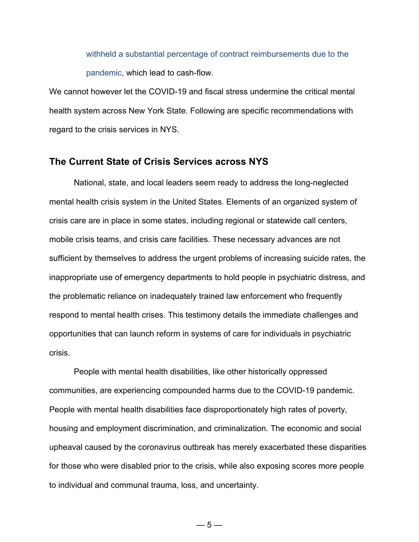withheld a substantial percentage of contract reimbursements due to the pandemic, which lead to cash-flow.

We cannot however let the COVID-19 and fiscal stress undermine the critical mental health system across New York State. Following are specific recommendations with regard to the crisis services in NYS.

#### **The Current State of Crisis Services across NYS**

National, state, and local leaders seem ready to address the long-neglected mental health crisis system in the United States. Elements of an organized system of crisis care are in place in some states, including regional or statewide call centers, mobile crisis teams, and crisis care facilities. These necessary advances are not sufficient by themselves to address the urgent problems of increasing suicide rates, the inappropriate use of emergency departments to hold people in psychiatric distress, and the problematic reliance on inadequately trained law enforcement who frequently respond to mental health crises. This testimony details the immediate challenges and opportunities that can launch reform in systems of care for individuals in psychiatric crisis.

People with mental health disabilities, like other historically oppressed communities, are experiencing compounded harms due to the COVID-19 pandemic. People with mental health disabilities face disproportionately high rates of poverty, housing and employment discrimination, and criminalization. The economic and social upheaval caused by the coronavirus outbreak has merely exacerbated these disparities for those who were disabled prior to the crisis, while also exposing scores more people to individual and communal trauma, loss, and uncertainty.

 $-5-$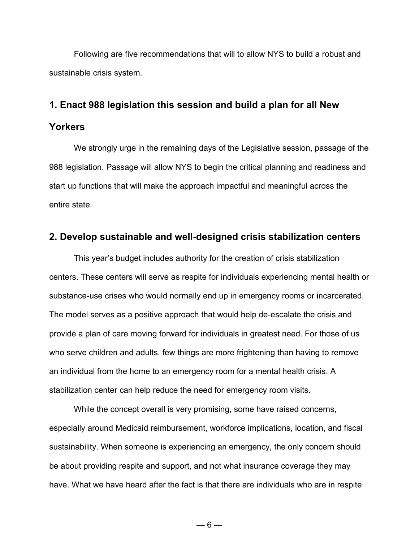Following are five recommendations that will to allow NYS to build a robust and sustainable crisis system.

#### **1. Enact 988 legislation this session and build a plan for all New**

#### **Yorkers**

We strongly urge in the remaining days of the Legislative session, passage of the 988 legislation. Passage will allow NYS to begin the critical planning and readiness and start up functions that will make the approach impactful and meaningful across the entire state.

#### **2. Develop sustainable and well-designed crisis stabilization centers**

This year's budget includes authority for the creation of crisis stabilization centers. These centers will serve as respite for individuals experiencing mental health or substance-use crises who would normally end up in emergency rooms or incarcerated. The model serves as a positive approach that would help de-escalate the crisis and provide a plan of care moving forward for individuals in greatest need. For those of us who serve children and adults, few things are more frightening than having to remove an individual from the home to an emergency room for a mental health crisis. A stabilization center can help reduce the need for emergency room visits.

While the concept overall is very promising, some have raised concerns, especially around Medicaid reimbursement, workforce implications, location, and fiscal sustainability. When someone is experiencing an emergency, the only concern should be about providing respite and support, and not what insurance coverage they may have. What we have heard after the fact is that there are individuals who are in respite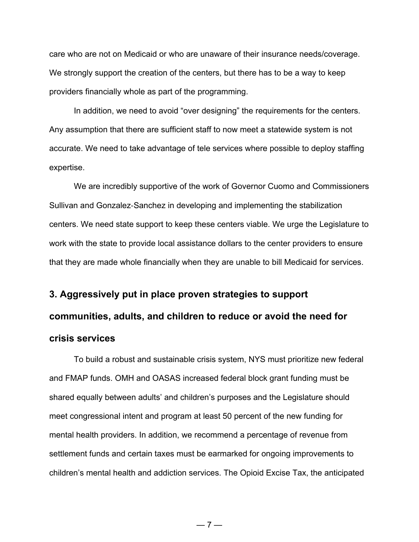care who are not on Medicaid or who are unaware of their insurance needs/coverage. We strongly support the creation of the centers, but there has to be a way to keep providers financially whole as part of the programming.

In addition, we need to avoid "over designing" the requirements for the centers. Any assumption that there are sufficient staff to now meet a statewide system is not accurate. We need to take advantage of tele services where possible to deploy staffing expertise.

We are incredibly supportive of the work of Governor Cuomo and Commissioners Sullivan and Gonzalez‐Sanchez in developing and implementing the stabilization centers. We need state support to keep these centers viable. We urge the Legislature to work with the state to provide local assistance dollars to the center providers to ensure that they are made whole financially when they are unable to bill Medicaid for services.

# **3. Aggressively put in place proven strategies to support communities, adults, and children to reduce or avoid the need for crisis services**

To build a robust and sustainable crisis system, NYS must prioritize new federal and FMAP funds. OMH and OASAS increased federal block grant funding must be shared equally between adults' and children's purposes and the Legislature should meet congressional intent and program at least 50 percent of the new funding for mental health providers. In addition, we recommend a percentage of revenue from settlement funds and certain taxes must be earmarked for ongoing improvements to children's mental health and addiction services. The Opioid Excise Tax, the anticipated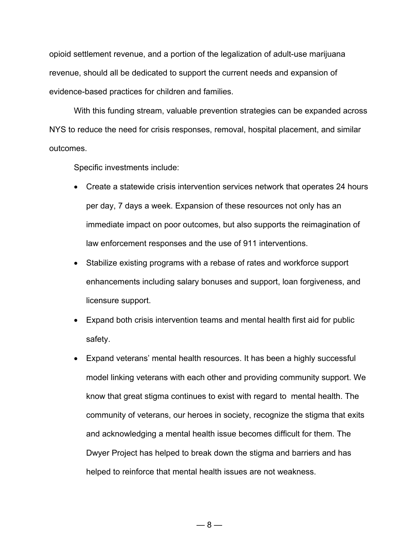opioid settlement revenue, and a portion of the legalization of adult-use marijuana revenue, should all be dedicated to support the current needs and expansion of evidence-based practices for children and families.

With this funding stream, valuable prevention strategies can be expanded across NYS to reduce the need for crisis responses, removal, hospital placement, and similar outcomes.

Specific investments include:

- Create a statewide crisis intervention services network that operates 24 hours per day, 7 days a week. Expansion of these resources not only has an immediate impact on poor outcomes, but also supports the reimagination of law enforcement responses and the use of 911 interventions.
- Stabilize existing programs with a rebase of rates and workforce support enhancements including salary bonuses and support, loan forgiveness, and licensure support.
- Expand both crisis intervention teams and mental health first aid for public safety.
- Expand veterans' mental health resources. It has been a highly successful model linking veterans with each other and providing community support. We know that great stigma continues to exist with regard to mental health. The community of veterans, our heroes in society, recognize the stigma that exits and acknowledging a mental health issue becomes difficult for them. The Dwyer Project has helped to break down the stigma and barriers and has helped to reinforce that mental health issues are not weakness.

 $-8-$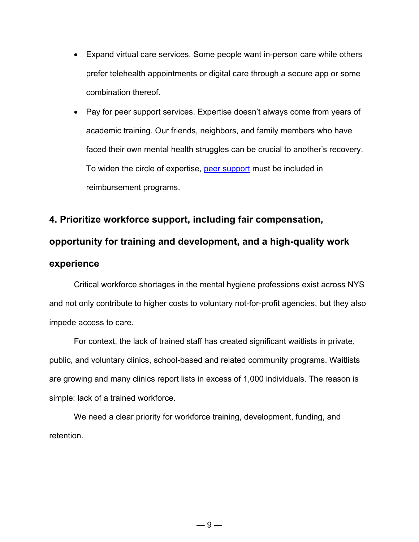- Expand virtual care services. Some people want in-person care while others prefer telehealth appointments or digital care through a secure app or some combination thereof.
- Pay for peer support services. Expertise doesn't always come from years of academic training. Our friends, neighbors, and family members who have faced their own mental health struggles can be crucial to another's recovery. To widen the circle of expertise, [peer support](https://www.samhsa.gov/brss-tacs/recovery-support-tools/peers) must be included in reimbursement programs.

### **4. Prioritize workforce support, including fair compensation,**

#### **opportunity for training and development, and a high-quality work**

#### **experience**

Critical workforce shortages in the mental hygiene professions exist across NYS and not only contribute to higher costs to voluntary not-for-profit agencies, but they also impede access to care.

For context, the lack of trained staff has created significant waitlists in private, public, and voluntary clinics, school-based and related community programs. Waitlists are growing and many clinics report lists in excess of 1,000 individuals. The reason is simple: lack of a trained workforce.

We need a clear priority for workforce training, development, funding, and retention.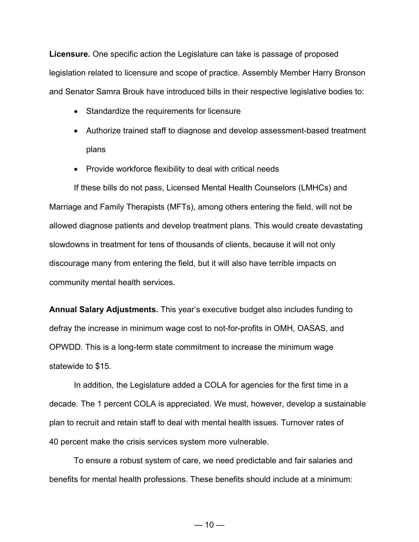**Licensure.** One specific action the Legislature can take is passage of proposed legislation related to licensure and scope of practice. Assembly Member Harry Bronson and Senator Samra Brouk have introduced bills in their respective legislative bodies to:

- Standardize the requirements for licensure
- Authorize trained staff to diagnose and develop assessment-based treatment plans
- Provide workforce flexibility to deal with critical needs

If these bills do not pass, Licensed Mental Health Counselors (LMHCs) and Marriage and Family Therapists (MFTs), among others entering the field, will not be allowed diagnose patients and develop treatment plans. This would create devastating slowdowns in treatment for tens of thousands of clients, because it will not only discourage many from entering the field, but it will also have terrible impacts on community mental health services.

**Annual Salary Adjustments.** This year's executive budget also includes funding to defray the increase in minimum wage cost to not-for-profits in OMH, OASAS, and OPWDD. This is a long-term state commitment to increase the minimum wage statewide to \$15.

In addition, the Legislature added a COLA for agencies for the first time in a decade. The 1 percent COLA is appreciated. We must, however, develop a sustainable plan to recruit and retain staff to deal with mental health issues. Turnover rates of 40 percent make the crisis services system more vulnerable.

To ensure a robust system of care, we need predictable and fair salaries and benefits for mental health professions. These benefits should include at a minimum: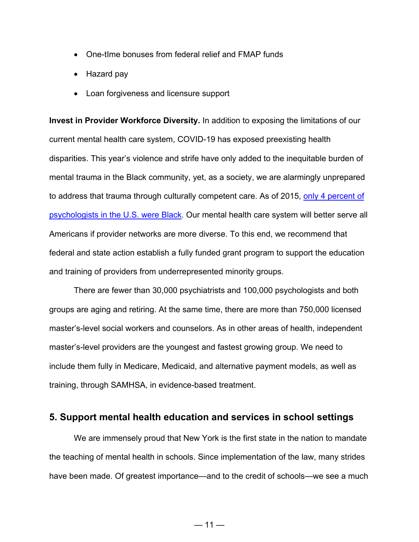- One-tIme bonuses from federal relief and FMAP funds
- Hazard pay
- Loan forgiveness and licensure support

**Invest in Provider Workforce Diversity.** In addition to exposing the limitations of our current mental health care system, COVID-19 has exposed preexisting health disparities. This year's violence and strife have only added to the inequitable burden of mental trauma in the Black community, yet, as a society, we are alarmingly unprepared to address that trauma through culturally competent care. As of 2015, only 4 [percent](https://www.apa.org/monitor/2018/02/datapoint#:%7E:text=In%202015%2C%2086%20percent%20of,from%20other%20racial%2Fethnic%20groups.) of [psychologists in the U.S.](https://www.apa.org/monitor/2018/02/datapoint#:%7E:text=In%202015%2C%2086%20percent%20of,from%20other%20racial%2Fethnic%20groups.) were Black. Our mental health care system will better serve all Americans if provider networks are more diverse. To this end, we recommend that federal and state action establish a fully funded grant program to support the education and training of providers from underrepresented minority groups.

There are fewer than 30,000 psychiatrists and 100,000 psychologists and both groups are aging and retiring. At the same time, there are more than 750,000 licensed master's-level social workers and counselors. As in other areas of health, independent master's-level providers are the youngest and fastest growing group. We need to include them fully in Medicare, Medicaid, and alternative payment models, as well as training, through SAMHSA, in evidence-based treatment.

#### **5. Support mental health education and services in school settings**

We are immensely proud that New York is the first state in the nation to mandate the teaching of mental health in schools. Since implementation of the law, many strides have been made. Of greatest importance—and to the credit of schools—we see a much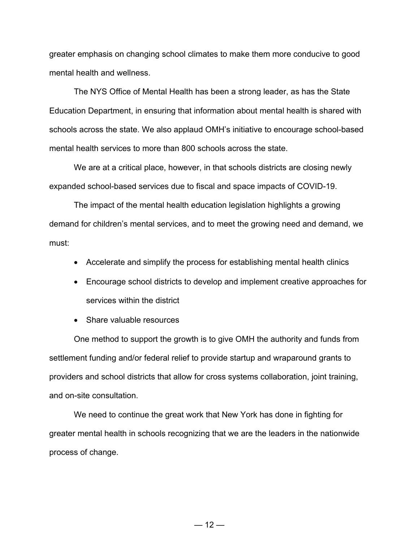greater emphasis on changing school climates to make them more conducive to good mental health and wellness.

The NYS Office of Mental Health has been a strong leader, as has the State Education Department, in ensuring that information about mental health is shared with schools across the state. We also applaud OMH's initiative to encourage school-based mental health services to more than 800 schools across the state.

We are at a critical place, however, in that schools districts are closing newly expanded school-based services due to fiscal and space impacts of COVID-19.

The impact of the mental health education legislation highlights a growing demand for children's mental services, and to meet the growing need and demand, we must:

- Accelerate and simplify the process for establishing mental health clinics
- Encourage school districts to develop and implement creative approaches for services within the district
- Share valuable resources

One method to support the growth is to give OMH the authority and funds from settlement funding and/or federal relief to provide startup and wraparound grants to providers and school districts that allow for cross systems collaboration, joint training, and on-site consultation.

We need to continue the great work that New York has done in fighting for greater mental health in schools recognizing that we are the leaders in the nationwide process of change.